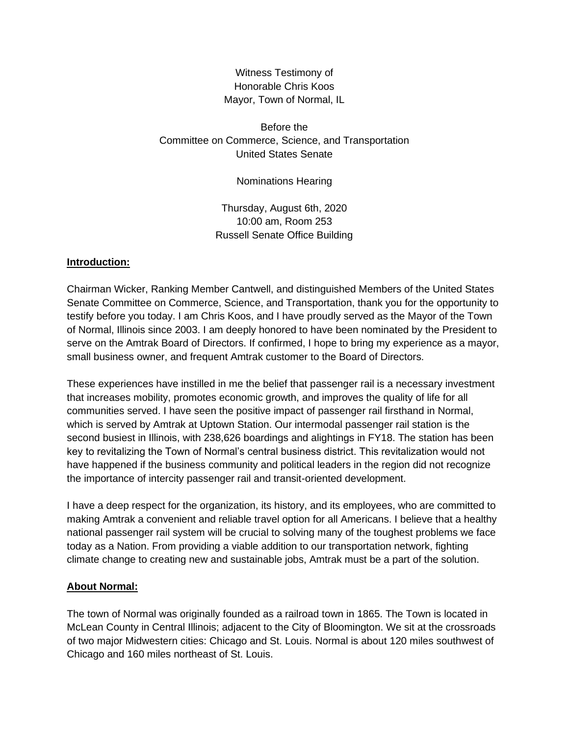Witness Testimony of Honorable Chris Koos Mayor, Town of Normal, IL

Before the Committee on Commerce, Science, and Transportation United States Senate

Nominations Hearing

Thursday, August 6th, 2020 10:00 am, Room 253 Russell Senate Office Building

#### **Introduction:**

Chairman Wicker, Ranking Member Cantwell, and distinguished Members of the United States Senate Committee on Commerce, Science, and Transportation, thank you for the opportunity to testify before you today. I am Chris Koos, and I have proudly served as the Mayor of the Town of Normal, Illinois since 2003. I am deeply honored to have been nominated by the President to serve on the Amtrak Board of Directors. If confirmed, I hope to bring my experience as a mayor, small business owner, and frequent Amtrak customer to the Board of Directors.

These experiences have instilled in me the belief that passenger rail is a necessary investment that increases mobility, promotes economic growth, and improves the quality of life for all communities served. I have seen the positive impact of passenger rail firsthand in Normal, which is served by Amtrak at Uptown Station. Our intermodal passenger rail station is the second busiest in Illinois, with 238,626 boardings and alightings in FY18. The station has been key to revitalizing the Town of Normal's central business district. This revitalization would not have happened if the business community and political leaders in the region did not recognize the importance of intercity passenger rail and transit-oriented development.

I have a deep respect for the organization, its history, and its employees, who are committed to making Amtrak a convenient and reliable travel option for all Americans. I believe that a healthy national passenger rail system will be crucial to solving many of the toughest problems we face today as a Nation. From providing a viable addition to our transportation network, fighting climate change to creating new and sustainable jobs, Amtrak must be a part of the solution.

### **About Normal:**

The town of Normal was originally founded as a railroad town in 1865. The Town is located in McLean County in Central Illinois; adjacent to the City of Bloomington. We sit at the crossroads of two major Midwestern cities: Chicago and St. Louis. Normal is about 120 miles southwest of Chicago and 160 miles northeast of St. Louis.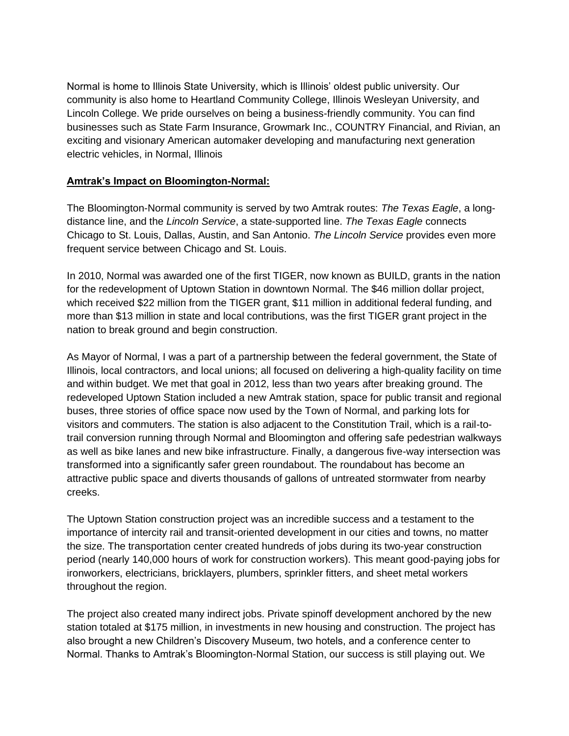Normal is home to Illinois State University, which is Illinois' oldest public university. Our community is also home to Heartland Community College, Illinois Wesleyan University, and Lincoln College. We pride ourselves on being a business-friendly community. You can find businesses such as State Farm Insurance, Growmark Inc., COUNTRY Financial, and Rivian, an exciting and visionary American automaker developing and manufacturing next generation electric vehicles, in Normal, Illinois

### **Amtrak's Impact on Bloomington-Normal:**

The Bloomington-Normal community is served by two Amtrak routes: *The Texas Eagle*, a longdistance line, and the *Lincoln Service*, a state-supported line. *The Texas Eagle* connects Chicago to St. Louis, Dallas, Austin, and San Antonio. *The Lincoln Service* provides even more frequent service between Chicago and St. Louis.

In 2010, Normal was awarded one of the first TIGER, now known as BUILD, grants in the nation for the redevelopment of Uptown Station in downtown Normal. The \$46 million dollar project, which received \$22 million from the TIGER grant, \$11 million in additional federal funding, and more than \$13 million in state and local contributions, was the first TIGER grant project in the nation to break ground and begin construction.

As Mayor of Normal, I was a part of a partnership between the federal government, the State of Illinois, local contractors, and local unions; all focused on delivering a high-quality facility on time and within budget. We met that goal in 2012, less than two years after breaking ground. The redeveloped Uptown Station included a new Amtrak station, space for public transit and regional buses, three stories of office space now used by the Town of Normal, and parking lots for visitors and commuters. The station is also adjacent to the Constitution Trail, which is a rail-totrail conversion running through Normal and Bloomington and offering safe pedestrian walkways as well as bike lanes and new bike infrastructure. Finally, a dangerous five-way intersection was transformed into a significantly safer green roundabout. The roundabout has become an attractive public space and diverts thousands of gallons of untreated stormwater from nearby creeks.

The Uptown Station construction project was an incredible success and a testament to the importance of intercity rail and transit-oriented development in our cities and towns, no matter the size. The transportation center created hundreds of jobs during its two-year construction period (nearly 140,000 hours of work for construction workers). This meant good-paying jobs for ironworkers, electricians, bricklayers, plumbers, sprinkler fitters, and sheet metal workers throughout the region.

The project also created many indirect jobs. Private spinoff development anchored by the new station totaled at \$175 million, in investments in new housing and construction. The project has also brought a new Children's Discovery Museum, two hotels, and a conference center to Normal. Thanks to Amtrak's Bloomington-Normal Station, our success is still playing out. We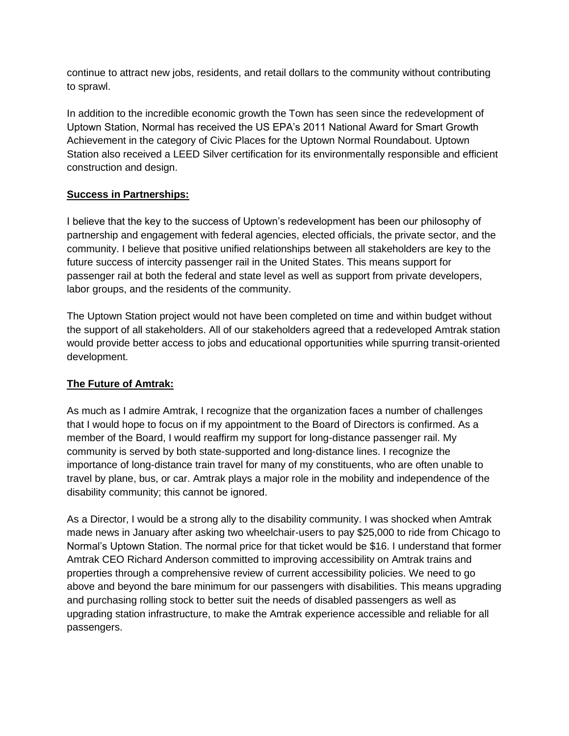continue to attract new jobs, residents, and retail dollars to the community without contributing to sprawl.

In addition to the incredible economic growth the Town has seen since the redevelopment of Uptown Station, Normal has received the US EPA's 2011 National Award for Smart Growth Achievement in the category of Civic Places for the Uptown Normal Roundabout. Uptown Station also received a LEED Silver certification for its environmentally responsible and efficient construction and design.

# **Success in Partnerships:**

I believe that the key to the success of Uptown's redevelopment has been our philosophy of partnership and engagement with federal agencies, elected officials, the private sector, and the community. I believe that positive unified relationships between all stakeholders are key to the future success of intercity passenger rail in the United States. This means support for passenger rail at both the federal and state level as well as support from private developers, labor groups, and the residents of the community.

The Uptown Station project would not have been completed on time and within budget without the support of all stakeholders. All of our stakeholders agreed that a redeveloped Amtrak station would provide better access to jobs and educational opportunities while spurring transit-oriented development.

# **The Future of Amtrak:**

As much as I admire Amtrak, I recognize that the organization faces a number of challenges that I would hope to focus on if my appointment to the Board of Directors is confirmed. As a member of the Board, I would reaffirm my support for long-distance passenger rail. My community is served by both state-supported and long-distance lines. I recognize the importance of long-distance train travel for many of my constituents, who are often unable to travel by plane, bus, or car. Amtrak plays a major role in the mobility and independence of the disability community; this cannot be ignored.

As a Director, I would be a strong ally to the disability community. I was shocked when Amtrak made news in January after asking two wheelchair-users to pay \$25,000 to ride from Chicago to Normal's Uptown Station. The normal price for that ticket would be \$16. I understand that former Amtrak CEO Richard Anderson committed to improving accessibility on Amtrak trains and properties through a comprehensive review of current accessibility policies. We need to go above and beyond the bare minimum for our passengers with disabilities. This means upgrading and purchasing rolling stock to better suit the needs of disabled passengers as well as upgrading station infrastructure, to make the Amtrak experience accessible and reliable for all passengers.